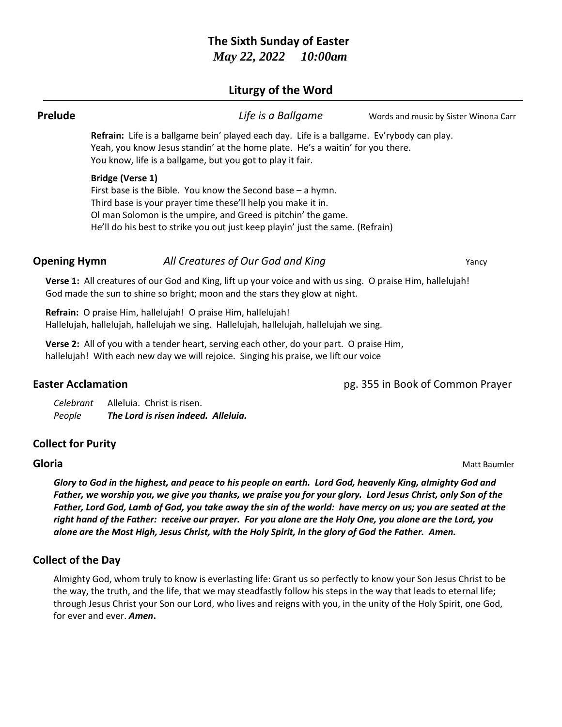### **The Sixth Sunday of Easter** *May 22, 2022 10:00am*

### **Liturgy of the Word**

## **Prelude** *Life is a Ballgame* Words and music by Sister Winona Carr **Refrain:** Life is a ballgame bein' played each day. Life is a ballgame. Ev'rybody can play. Yeah, you know Jesus standin' at the home plate. He's a waitin' for you there. You know, life is a ballgame, but you got to play it fair. **Bridge (Verse 1)** First base is the Bible. You know the Second base – a hymn. Third base is your prayer time these'll help you make it in. Ol man Solomon is the umpire, and Greed is pitchin' the game. He'll do his best to strike you out just keep playin' just the same. (Refrain) **Opening Hymn** *All Creatures of Our God and King Yancy* **Verse 1:** All creatures of our God and King, lift up your voice and with us sing. O praise Him, hallelujah! God made the sun to shine so bright; moon and the stars they glow at night.

**Refrain:** O praise Him, hallelujah! O praise Him, hallelujah! Hallelujah, hallelujah, hallelujah we sing. Hallelujah, hallelujah, hallelujah we sing.

**Verse 2:** All of you with a tender heart, serving each other, do your part. O praise Him, hallelujah! With each new day we will rejoice. Singing his praise, we lift our voice

**Easter Acclamation** pg. 355 in Book of Common Prayer

*Celebrant* Alleluia. Christ is risen. *People The Lord is risen indeed. Alleluia.*

#### **Collect for Purity**

**Gloria** Matt Baumler

*Glory to God in the highest, and peace to his people on earth. Lord God, heavenly King, almighty God and Father, we worship you, we give you thanks, we praise you for your glory. Lord Jesus Christ, only Son of the Father, Lord God, Lamb of God, you take away the sin of the world: have mercy on us; you are seated at the right hand of the Father: receive our prayer. For you alone are the Holy One, you alone are the Lord, you alone are the Most High, Jesus Christ, with the Holy Spirit, in the glory of God the Father. Amen.*

#### **Collect of the Day**

Almighty God, whom truly to know is everlasting life: Grant us so perfectly to know your Son Jesus Christ to be the way, the truth, and the life, that we may steadfastly follow his steps in the way that leads to eternal life; through Jesus Christ your Son our Lord, who lives and reigns with you, in the unity of the Holy Spirit, one God, for ever and ever. *Amen***.**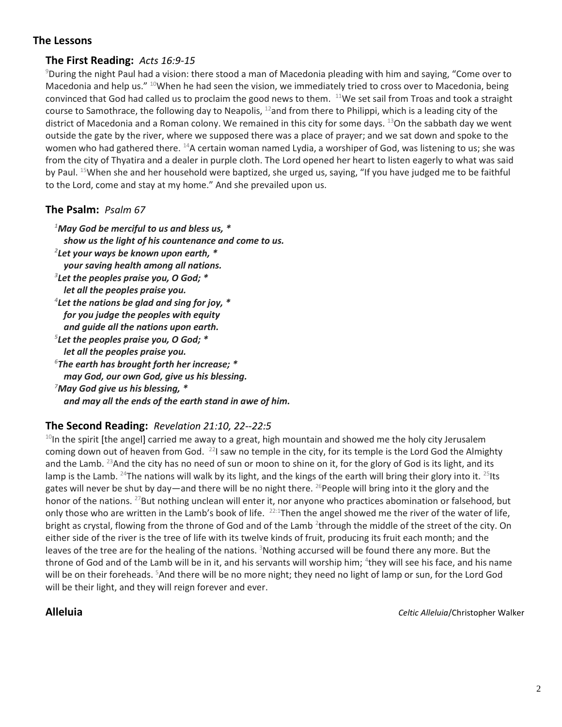### **The Lessons**

#### **The First Reading:** *Acts 16:9-15*

<sup>9</sup>During the night Paul had a vision: there stood a man of Macedonia pleading with him and saying, "Come over to Macedonia and help us." <sup>10</sup>When he had seen the vision, we immediately tried to cross over to Macedonia, being convinced that God had called us to proclaim the good news to them.  $^{11}$ We set sail from Troas and took a straight course to Samothrace, the following day to Neapolis, <sup>12</sup>and from there to Philippi, which is a leading city of the district of Macedonia and a Roman colony. We remained in this city for some days. <sup>13</sup>On the sabbath day we went outside the gate by the river, where we supposed there was a place of prayer; and we sat down and spoke to the women who had gathered there. <sup>14</sup>A certain woman named Lydia, a worshiper of God, was listening to us; she was from the city of Thyatira and a dealer in purple cloth. The Lord opened her heart to listen eagerly to what was said by Paul. <sup>15</sup>When she and her household were baptized, she urged us, saying, "If you have judged me to be faithful to the Lord, come and stay at my home." And she prevailed upon us.

#### **The Psalm:** *Psalm 67*

*<sup>1</sup>May God be merciful to us and bless us, \* show us the light of his countenance and come to us. 2 Let your ways be known upon earth, \* your saving health among all nations. 3 Let the peoples praise you, O God; \* let all the peoples praise you. 4 Let the nations be glad and sing for joy, \* for you judge the peoples with equity and guide all the nations upon earth. 5 Let the peoples praise you, O God; \* let all the peoples praise you. <sup>6</sup>The earth has brought forth her increase; \* may God, our own God, give us his blessing. <sup>7</sup>May God give us his blessing, \* and may all the ends of the earth stand in awe of him.*

#### **The Second Reading:** *Revelation 21:10, 22--22:5*

<sup>10</sup>In the spirit [the angel] carried me away to a great, high mountain and showed me the holy city Jerusalem coming down out of heaven from God. <sup>22</sup>I saw no temple in the city, for its temple is the Lord God the Almighty and the Lamb. <sup>23</sup>And the city has no need of sun or moon to shine on it, for the glory of God is its light, and its lamp is the Lamb. <sup>24</sup>The nations will walk by its light, and the kings of the earth will bring their glory into it. <sup>25</sup>lts gates will never be shut by day—and there will be no night there.  $^{26}$ People will bring into it the glory and the honor of the nations. <sup>27</sup>But nothing unclean will enter it, nor anyone who practices abomination or falsehood, but only those who are written in the Lamb's book of life.  $^{22:1}$ Then the angel showed me the river of the water of life, bright as crystal, flowing from the throne of God and of the Lamb <sup>2</sup>through the middle of the street of the city. On either side of the river is the tree of life with its twelve kinds of fruit, producing its fruit each month; and the leaves of the tree are for the healing of the nations. <sup>3</sup>Nothing accursed will be found there any more. But the throne of God and of the Lamb will be in it, and his servants will worship him;  $^4$ they will see his face, and his name will be on their foreheads. <sup>5</sup>And there will be no more night; they need no light of lamp or sun, for the Lord God will be their light, and they will reign forever and ever.

**Alleluia** *Celtic Alleluia*/Christopher Walker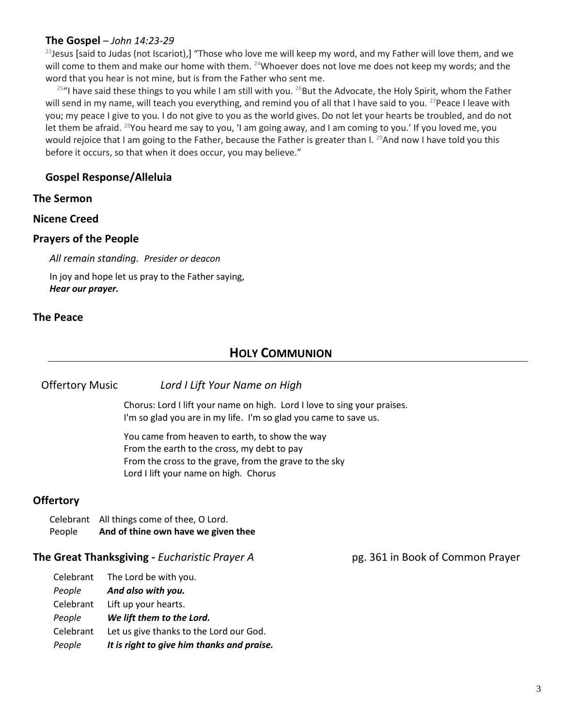### **The Gospel** – *John 14:23-29*

 $^{23}$ Jesus [said to Judas (not Iscariot),] "Those who love me will keep my word, and my Father will love them, and we will come to them and make our home with them. <sup>24</sup>Whoever does not love me does not keep my words; and the word that you hear is not mine, but is from the Father who sent me.

 $25$ "I have said these things to you while I am still with you.  $26$ But the Advocate, the Holy Spirit, whom the Father will send in my name, will teach you everything, and remind you of all that I have said to you. <sup>27</sup>Peace I leave with you; my peace I give to you. I do not give to you as the world gives. Do not let your hearts be troubled, and do not let them be afraid. <sup>28</sup>You heard me say to you, 'I am going away, and I am coming to you.' If you loved me, you would rejoice that I am going to the Father, because the Father is greater than I.<sup>29</sup>And now I have told you this before it occurs, so that when it does occur, you may believe."

### **Gospel Response/Alleluia**

#### **The Sermon**

#### **Nicene Creed**

#### **Prayers of the People**

*All remain standing. Presider or deacon*

In joy and hope let us pray to the Father saying, *Hear our prayer.*

#### **The Peace**

### **HOLY COMMUNION**

| <b>Offertory Music</b> | Lord I Lift Your Name on High                                                                                                                                                                    |                                  |
|------------------------|--------------------------------------------------------------------------------------------------------------------------------------------------------------------------------------------------|----------------------------------|
|                        | Chorus: Lord I lift your name on high. Lord I love to sing your praises.<br>I'm so glad you are in my life. I'm so glad you came to save us.                                                     |                                  |
|                        | You came from heaven to earth, to show the way<br>From the earth to the cross, my debt to pay<br>From the cross to the grave, from the grave to the sky<br>Lord I lift your name on high. Chorus |                                  |
| <b>Offertory</b>       |                                                                                                                                                                                                  |                                  |
| People                 | Celebrant All things come of thee, O Lord.<br>And of thine own have we given thee                                                                                                                |                                  |
|                        | The Great Thanksgiving - Eucharistic Prayer A                                                                                                                                                    | pg. 361 in Book of Common Prayer |
| Celebrant              | The Lord be with you.                                                                                                                                                                            |                                  |

| Celebrant | The Lord be with you.                      |
|-----------|--------------------------------------------|
| People    | And also with you.                         |
| Celebrant | Lift up your hearts.                       |
| People    | We lift them to the Lord.                  |
| Celebrant | Let us give thanks to the Lord our God.    |
| People    | It is right to give him thanks and praise. |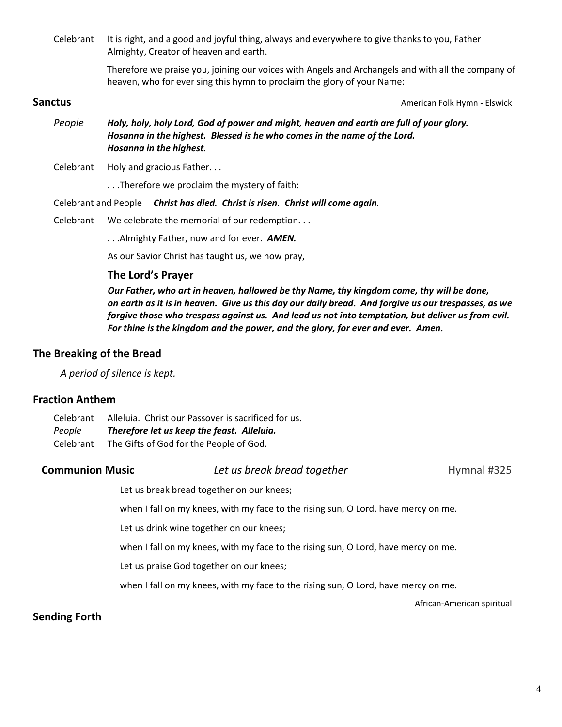Celebrant It is right, and a good and joyful thing, always and everywhere to give thanks to you, Father Almighty, Creator of heaven and earth.

> Therefore we praise you, joining our voices with Angels and Archangels and with all the company of heaven, who for ever sing this hymn to proclaim the glory of your Name:

**Sanctus** American Folk Hymn - Elswick

- *People Holy, holy, holy Lord, God of power and might, heaven and earth are full of your glory. Hosanna in the highest. Blessed is he who comes in the name of the Lord. Hosanna in the highest.*
- Celebrant Holy and gracious Father...

. . .Therefore we proclaim the mystery of faith:

Celebrant and People *Christ has died. Christ is risen. Christ will come again.*

Celebrant We celebrate the memorial of our redemption. . .

. . .Almighty Father, now and for ever. *AMEN.*

As our Savior Christ has taught us, we now pray,

#### **The Lord's Prayer**

*Our Father, who art in heaven, hallowed be thy Name, thy kingdom come, thy will be done, on earth as it is in heaven. Give us this day our daily bread. And forgive us our trespasses, as we forgive those who trespass against us. And lead us not into temptation, but deliver us from evil. For thine is the kingdom and the power, and the glory, for ever and ever. Amen.*

#### **The Breaking of the Bread**

*A period of silence is kept.*

#### **Fraction Anthem**

| Celebrant | Alleluia. Christ our Passover is sacrificed for us. |
|-----------|-----------------------------------------------------|
| People    | Therefore let us keep the feast. Alleluia.          |
| Celebrant | The Gifts of God for the People of God.             |

# **Communion Music Let us break bread together Hymnal #325** Let us break bread together on our knees; when I fall on my knees, with my face to the rising sun, O Lord, have mercy on me. Let us drink wine together on our knees; when I fall on my knees, with my face to the rising sun, O Lord, have mercy on me. Let us praise God together on our knees; when I fall on my knees, with my face to the rising sun, O Lord, have mercy on me.

African-American spiritual

#### **Sending Forth**